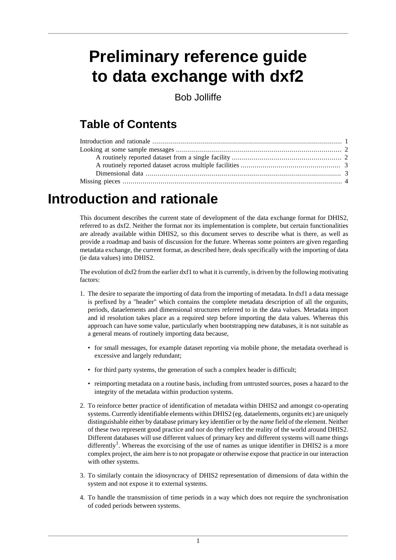# **Preliminary reference guide to data exchange with dxf2**

Bob Jolliffe

### **Table of Contents**

## <span id="page-0-0"></span>**Introduction and rationale**

This document describes the current state of development of the data exchange format for DHIS2, referred to as dxf2. Neither the format nor its implementation is complete, but certain functionalities are already available within DHIS2, so this document serves to describe what is there, as well as provide a roadmap and basis of discussion for the future. Whereas some pointers are given regarding metadata exchange, the current format, as described here, deals specifically with the importing of data (ie data values) into DHIS2.

The evolution of  $dxf2$  from the earlier  $dxf1$  to what it is currently, is driven by the following motivating factors:

- 1. The desire to separate the importing of data from the importing of metadata. In dxf1 a data message is prefixed by a "header" which contains the complete metadata description of all the orgunits, periods, dataelements and dimensional structures referred to in the data values. Metadata import and id resolution takes place as a required step before importing the data values. Whereas this approach can have some value, particularly when bootstrapping new databases, it is not suitable as a general means of routinely importing data because,
	- for small messages, for example dataset reporting via mobile phone, the metadata overhead is excessive and largely redundant;
	- for third party systems, the generation of such a complex header is difficult;
	- reimporting metadata on a routine basis, including from untrusted sources, poses a hazard to the integrity of the metadata within production systems.
- 2. To reinforce better practice of identification of metadata within DHIS2 and amongst co-operating systems. Currently identifiable elements within DHIS2 (eg. dataelements, orgunits etc) are uniquely distinguishable either by database primary key identifier or by the *name* field of the element. Neither of these two represent good practice and nor do they reflect the reality of the world around DHIS2. Different databases will use different values of primary key and different systems will name things differently<sup>1</sup>. Whereas the exorcising of the use of names as unique identifier in DHIS2 is a more complex project, the aim here is to not propagate or otherwise expose that practice in our interaction with other systems.
- 3. To similarly contain the idiosyncracy of DHIS2 representation of dimensions of data within the system and not expose it to external systems.
- 4. To handle the transmission of time periods in a way which does not require the synchronisation of coded periods between systems.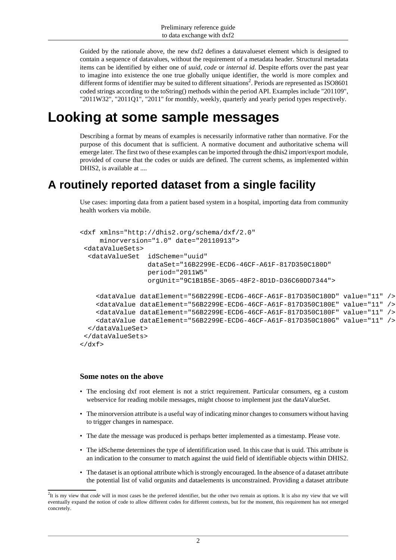Guided by the rationale above, the new dxf2 defines a datavalueset element which is designed to contain a sequence of datavalues, without the requirement of a metadata header. Structural metadata items can be identified by either one of *uuid*, *code* or *internal id*. Despite efforts over the past year to imagine into existence the one true globally unique identifier, the world is more complex and different forms of identifier may be suited to different situations<sup>2</sup>. Periods are represented as ISO8601 coded strings according to the toString() methods within the period API. Examples include "201109", "2011W32", "2011Q1", "2011" for monthly, weekly, quarterly and yearly period types respectively.

## <span id="page-1-0"></span>**Looking at some sample messages**

Describing a format by means of examples is necessarily informative rather than normative. For the purpose of this document that is sufficient. A normative document and authoritative schema will emerge later. The first two of these examples can be imported through the dhis2 import/export module, provided of course that the codes or uuids are defined. The current schems, as implemented within DHIS2, is available at ....

### <span id="page-1-1"></span>**A routinely reported dataset from a single facility**

Use cases: importing data from a patient based system in a hospital, importing data from community health workers via mobile.

```
<dxf xmlns="http://dhis2.org/schema/dxf/2.0" 
      minorversion="1.0" date="20110913">
 <dataValueSets>
   <dataValueSet idScheme="uuid"
                  dataSet="16B2299E-ECD6-46CF-A61F-817D350C180D" 
                  period="2011W5"
                  orgUnit="9C1B1B5E-3D65-48F2-8D1D-D36C60DD7344">
     <dataValue dataElement="56B2299E-ECD6-46CF-A61F-817D350C180D" value="11" />
     <dataValue dataElement="56B2299E-ECD6-46CF-A61F-817D350C180E" value="11" />
     <dataValue dataElement="56B2299E-ECD6-46CF-A61F-817D350C180F" value="11" />
     <dataValue dataElement="56B2299E-ECD6-46CF-A61F-817D350C180G" value="11" />
  </dataValueSet>
 </dataValueSets>
\langle dxf \rangle
```
#### **Some notes on the above**

- The enclosing dxf root element is not a strict requirement. Particular consumers, eg a custom webservice for reading mobile messages, might choose to implement just the dataValueSet.
- The minorversion attribute is a useful way of indicating minor changes to consumers without having to trigger changes in namespace.
- The date the message was produced is perhaps better implemented as a timestamp. Please vote.
- The idScheme determines the type of identifification used. In this case that is uuid. This attribute is an indication to the consumer to match against the uuid field of identifiable objects within DHIS2.
- The dataset is an optional attribute which is strongly encouraged. In the absence of a dataset attribute the potential list of valid orgunits and dataelements is unconstrained. Providing a dataset attribute

<sup>&</sup>lt;sup>2</sup>It is my view that *code* will in most cases be the preferred identifier, but the other two remain as options. It is also my view that we will eventually expand the notion of code to allow different codes for different contexts, but for the moment, this requirement has not emerged concretely.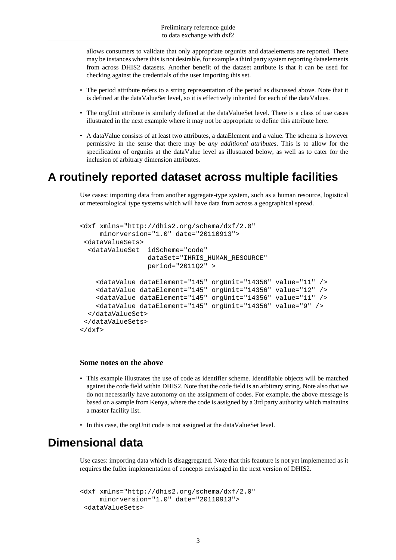allows consumers to validate that only appropriate orgunits and dataelements are reported. There may be instances where this is not desirable, for example a third party system reporting dataelements from across DHIS2 datasets. Another benefit of the dataset attribute is that it can be used for checking against the credentials of the user importing this set.

- The period attribute refers to a string representation of the period as discussed above. Note that it is defined at the dataValueSet level, so it is effectively inherited for each of the dataValues.
- The orgUnit attribute is similarly defined at the dataValueSet level. There is a class of use cases illustrated in the next example where it may not be appropriate to define this attribute here.
- A dataValue consists of at least two attributes, a dataElement and a value. The schema is however permissive in the sense that there may be *any additional attributes*. This is to allow for the specification of orgunits at the dataValue level as illustrated below, as well as to cater for the inclusion of arbitrary dimension attributes.

### <span id="page-2-0"></span>**A routinely reported dataset across multiple facilities**

Use cases: importing data from another aggregate-type system, such as a human resource, logistical or meteorological type systems which will have data from across a geographical spread.

```
<dxf xmlns="http://dhis2.org/schema/dxf/2.0" 
     minorversion="1.0" date="20110913">
  <dataValueSets>
   <dataValueSet idScheme="code"
                  dataSet="IHRIS_HUMAN_RESOURCE" 
                  period="2011Q2" >
     <dataValue dataElement="145" orgUnit="14356" value="11" />
     <dataValue dataElement="145" orgUnit="14356" value="12" />
     <dataValue dataElement="145" orgUnit="14356" value="11" />
     <dataValue dataElement="145" orgUnit="14356" value="9" />
   </dataValueSet>
 </dataValueSets>
\langle dxf \rangle
```
#### **Some notes on the above**

- This example illustrates the use of code as identifier scheme. Identifiable objects will be matched against the code field within DHIS2. Note that the code field is an arbitrary string. Note also that we do not necessarily have autonomy on the assignment of codes. For example, the above message is based on a sample from Kenya, where the code is assigned by a 3rd party authority which mainatins a master facility list.
- In this case, the orgUnit code is not assigned at the dataValueSet level.

### <span id="page-2-1"></span>**Dimensional data**

Use cases: importing data which is disaggregated. Note that this feauture is not yet implemented as it requires the fuller implementation of concepts envisaged in the next version of DHIS2.

```
<dxf xmlns="http://dhis2.org/schema/dxf/2.0" 
     minorversion="1.0" date="20110913">
  <dataValueSets>
```